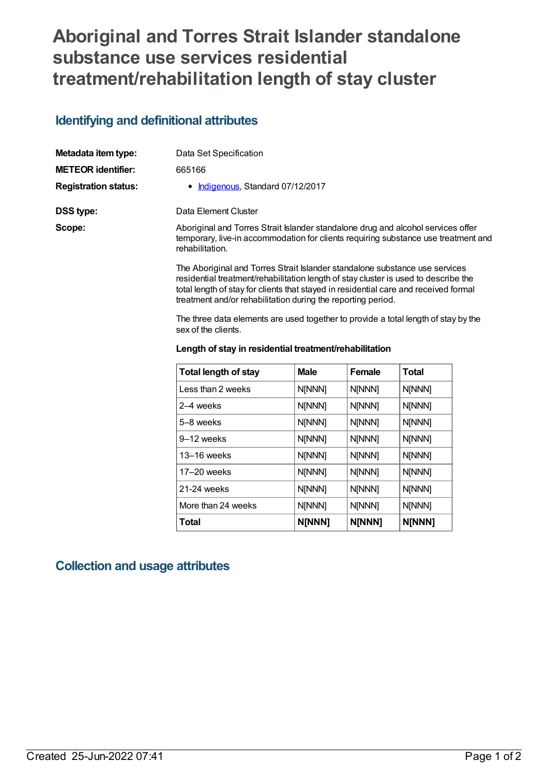## **Aboriginal and Torres Strait Islander standalone substance use services residential treatment/rehabilitation length of stay cluster**

## **Identifying and definitional attributes**

| Metadata item type:         | Data Set Specification                                                                                                                                                                                                                                                                                                     |
|-----------------------------|----------------------------------------------------------------------------------------------------------------------------------------------------------------------------------------------------------------------------------------------------------------------------------------------------------------------------|
| <b>METEOR identifier:</b>   | 665166                                                                                                                                                                                                                                                                                                                     |
| <b>Registration status:</b> | • Indigenous, Standard 07/12/2017                                                                                                                                                                                                                                                                                          |
| <b>DSS type:</b>            | Data Element Cluster                                                                                                                                                                                                                                                                                                       |
| Scope:                      | Aboriginal and Torres Strait Islander standalone drug and alcohol services offer<br>temporary, live-in accommodation for clients requiring substance use treatment and<br>rehabilitation.                                                                                                                                  |
|                             | The Aboriginal and Torres Strait Islander standalone substance use services<br>residential treatment/rehabilitation length of stay cluster is used to describe the<br>total length of stay for clients that stayed in residential care and received formal<br>treatment and/or rehabilitation during the reporting period. |

The three data elements are used together to provide a total length of stay by the sex of the clients.

| <b>Total length of stay</b> | <b>Male</b> | Female | <b>Total</b> |
|-----------------------------|-------------|--------|--------------|
| Less than 2 weeks           | N[NNN]      | N[NNN] | N[NNN]       |
| 2–4 weeks                   | N[NNN]      | N[NNN] | N[NNN]       |
| 5–8 weeks                   | N[NNN]      | N[NNN] | N[NNN]       |
| 9–12 weeks                  | N[NNN]      | N[NNN] | N[NNN]       |
| $13-16$ weeks               | N[NNN]      | N[NNN] | N[NNN]       |
| $17-20$ weeks               | N[NNN]      | N[NNN] | N[NNN]       |
| 21-24 weeks                 | N[NNN]      | N[NNN] | N[NNN]       |
| More than 24 weeks          | N[NNN]      | N[NNN] | N[NNN]       |
| Total                       | N[NNN]      | N[NNN] | N[NNN]       |

#### **Length of stay in residential treatment/rehabilitation**

### **Collection and usage attributes**